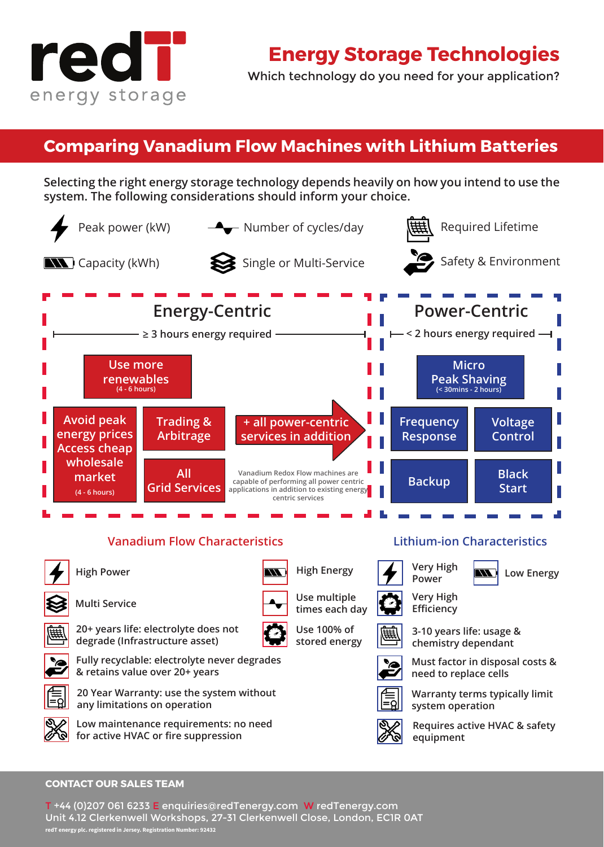

Which technology do you need for your application?

## **Comparing Vanadium Flow Machines with Lithium Batteries**

**Selecting the right energy storage technology depends heavily on how you intend to use the system. The following considerations should inform your choice.**



#### **CONTACT OUR SALES TEAM CONTACT OUR SALES TEAM**

T +27 (0)112 588 964 E enquiries@redTenergy.com W redTenergy.com T +44 (0)207 061 6233 E enquiries@redTenergy.com W redTenergy.com Unit 4.12 Clerkenwell Workshops, 27-31 Clerkenwell Close, London, EC1R 0AT Norweg, 2002, South Africa **redT energy plc. registered in Jersey. Registration Number: 92432 redT energy plc. registered in Jersey. Registration Number: 92432**